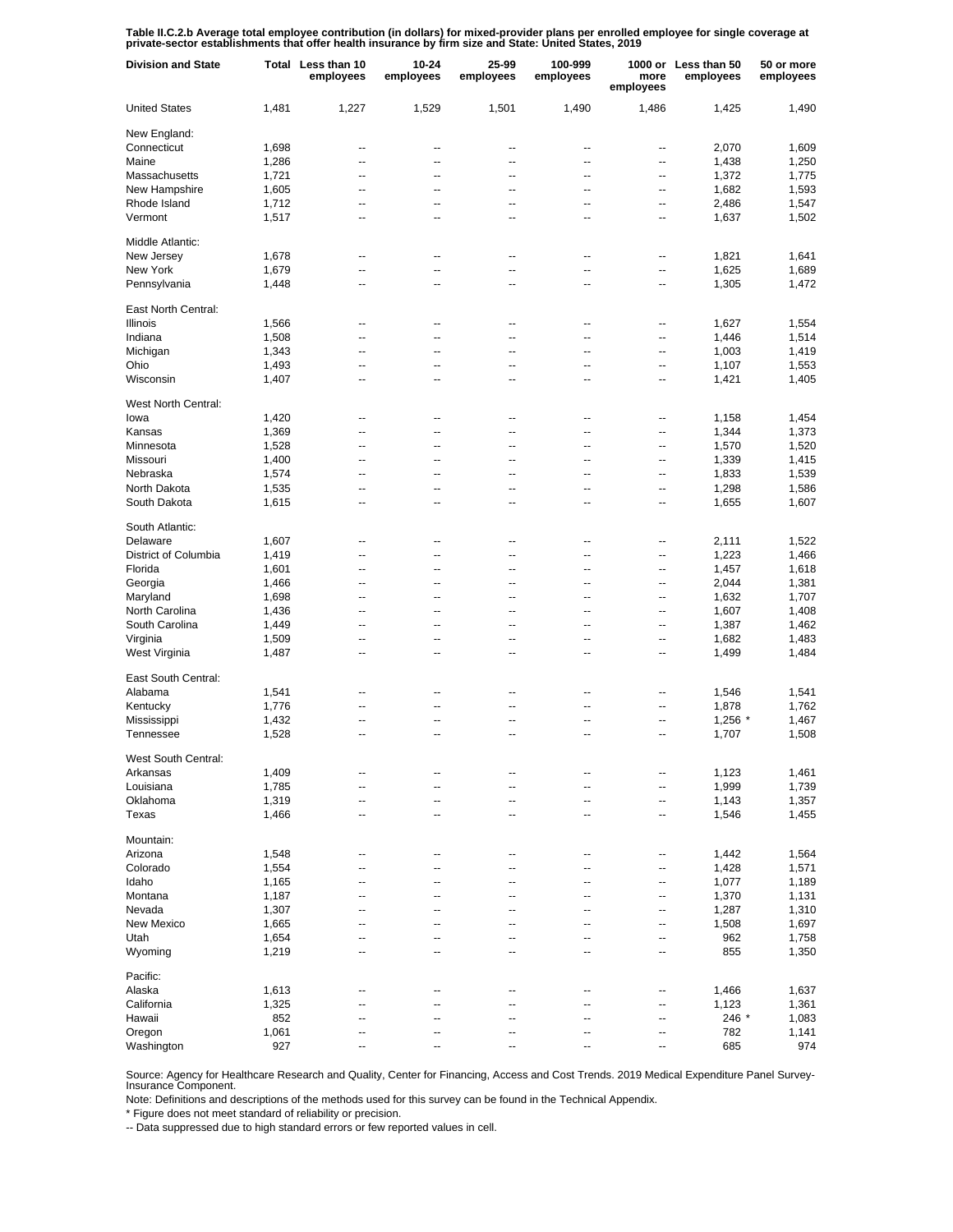Table II.C.2.b Average total employee contribution (in dollars) for mixed-provider plans per enrolled employee for single coverage at<br>private-sector establishments that offer health insurance by firm size and State: United

| <b>Division and State</b> |              | Total Less than 10<br>employees | $10 - 24$<br>employees | 25-99<br>employees       | 100-999<br>employees | more<br>employees | 1000 or Less than 50<br>employees | 50 or more<br>employees |
|---------------------------|--------------|---------------------------------|------------------------|--------------------------|----------------------|-------------------|-----------------------------------|-------------------------|
| <b>United States</b>      | 1,481        | 1,227                           | 1,529                  | 1,501                    | 1,490                | 1,486             | 1,425                             | 1,490                   |
| New England:              |              |                                 |                        |                          |                      |                   |                                   |                         |
| Connecticut               | 1,698        | --                              | --                     | --                       | --                   | --                | 2,070                             | 1,609                   |
| Maine                     | 1,286        | --                              | --                     | --                       | --                   | --                | 1,438                             | 1,250                   |
| Massachusetts             | 1,721        | --                              | --                     | --                       | --                   | --                | 1,372                             | 1,775                   |
| New Hampshire             | 1,605        | $\overline{\phantom{a}}$        | --                     | --                       | --                   | --                | 1,682                             | 1,593                   |
| Rhode Island              | 1,712        | --                              | --                     | --                       | --                   | --                | 2,486                             | 1,547                   |
| Vermont                   | 1,517        | $\overline{\phantom{a}}$        | --                     | --                       | --                   | --                | 1,637                             | 1,502                   |
| Middle Atlantic:          |              |                                 |                        |                          |                      |                   |                                   |                         |
| New Jersey                | 1,678        | --                              | --                     | --                       | --                   | --                | 1,821                             | 1,641                   |
| New York                  | 1,679        | --                              | --                     | --                       | --                   | --                | 1,625                             | 1,689                   |
| Pennsylvania              | 1,448        | --                              | --                     | --                       | --                   | --                | 1,305                             | 1,472                   |
| East North Central:       |              |                                 |                        |                          |                      |                   |                                   |                         |
| Illinois                  | 1,566        | --                              | --                     | --                       | ۰.                   | --                | 1,627                             | 1,554                   |
| Indiana                   | 1,508        | --                              | --                     | --                       | ۰.                   | --                | 1,446                             | 1,514                   |
| Michigan                  | 1,343        | --                              | --                     | --                       | --                   | --                | 1,003                             | 1,419                   |
| Ohio                      | 1,493        | ۰.                              | --                     | --                       | --                   | --                | 1,107                             | 1,553                   |
| Wisconsin                 | 1,407        | --                              | --                     | --                       | --                   | --                | 1,421                             | 1,405                   |
| West North Central:       |              |                                 |                        |                          |                      |                   |                                   |                         |
| lowa                      | 1,420        | --                              | --                     | --                       | --                   | --                | 1,158                             | 1,454                   |
| Kansas                    | 1,369        | --                              | --                     | --                       | --                   | --                | 1,344                             | 1,373                   |
| Minnesota                 | 1,528        | --                              | --                     | --                       | --                   | --                | 1,570                             | 1,520                   |
| Missouri                  | 1,400        | $\overline{\phantom{a}}$        | --                     | --                       | --                   | --                | 1,339                             | 1,415                   |
| Nebraska                  | 1,574        | --                              | --                     | --                       | --                   | --                | 1,833                             | 1,539                   |
| North Dakota              | 1,535        | $\overline{\phantom{a}}$        | --                     | --                       | --                   | --                | 1,298                             | 1,586                   |
| South Dakota              | 1,615        | --                              | --                     | --                       | --                   | --                | 1,655                             | 1,607                   |
| South Atlantic:           |              |                                 |                        |                          |                      |                   |                                   |                         |
| Delaware                  | 1,607        | --                              | ц.                     | ٠.                       | --                   | --                | 2,111                             | 1,522                   |
| District of Columbia      | 1,419        | $\overline{a}$                  | --                     | --                       | --                   | --                | 1,223                             | 1,466                   |
| Florida                   | 1,601        | --                              | --                     | --                       | --                   | --                | 1,457                             | 1,618                   |
| Georgia                   | 1,466        | --                              | --                     | --                       | --                   | --                | 2,044                             | 1,381                   |
| Maryland                  | 1,698        | --                              | --                     | --                       | --                   | --                | 1,632                             | 1,707                   |
| North Carolina            | 1,436        | --                              | --                     | --                       | --                   | --                | 1,607                             | 1,408                   |
| South Carolina            | 1,449        | --                              | --                     | --                       | --                   | --                | 1,387                             | 1,462                   |
| Virginia                  | 1,509        | $\overline{a}$                  | --                     | --                       | --                   | --                | 1,682                             | 1,483                   |
| West Virginia             | 1,487        | --                              | --                     | --                       | --                   | --                | 1,499                             | 1,484                   |
| East South Central:       |              |                                 |                        |                          |                      |                   |                                   |                         |
| Alabama                   | 1,541        | --                              | --                     | --                       | --                   | --                | 1,546                             | 1,541                   |
| Kentucky                  | 1,776        | --                              | --                     | --                       | ۵.                   | --                | 1,878                             | 1,762                   |
| Mississippi               | 1,432        | --                              | --                     | ٠.                       | --                   | --                | $1,256$ *                         | 1,467                   |
| Tennessee                 | 1,528        | $\overline{a}$                  | $\overline{a}$         | $\overline{a}$           | $\overline{a}$       | --                | 1,707                             | 1,508                   |
| West South Central:       |              |                                 |                        |                          |                      |                   |                                   |                         |
| Arkansas                  | 1,409        | --                              | --                     |                          |                      | --                | 1,123                             | 1,461                   |
| Louisiana                 | 1,785        | --                              | --                     | --                       | --                   | --                | 1,999                             | 1,739                   |
| Oklahoma                  | 1,319        | --                              | --                     | --                       | --                   | --                | 1,143                             | 1,357                   |
| Texas                     | 1,466        | $\overline{\phantom{a}}$        | --                     | $\overline{\phantom{a}}$ | --                   | --                | 1,546                             | 1,455                   |
| Mountain:                 |              |                                 |                        |                          |                      |                   |                                   |                         |
| Arizona                   | 1,548        | --                              | --                     | ٠.                       | --                   | --                | 1,442                             | 1,564                   |
| Colorado                  | 1,554        | --                              | ٠.                     | --                       | --                   | --                | 1,428                             | 1,571                   |
| Idaho                     | 1,165        | --                              | ٠.                     | --                       | --                   | --                | 1,077                             | 1,189                   |
| Montana                   | 1,187        | --                              | ٠.                     | --                       | --                   | --                | 1,370                             | 1,131                   |
| Nevada                    | 1,307        | --                              | ٠.                     | --                       | --                   | --                | 1,287                             | 1,310                   |
| New Mexico                | 1,665        | --                              | ٠.                     | ٠.                       | --                   | --                | 1,508                             | 1,697                   |
| Utah                      | 1,654        | --                              | --                     | --                       | --                   | --                | 962                               | 1,758                   |
| Wyoming                   | 1,219        | --                              | ٠.                     | --                       | --                   | --                | 855                               | 1,350                   |
| Pacific:                  |              |                                 |                        |                          |                      |                   |                                   |                         |
| Alaska                    | 1,613        | --                              | --                     | --                       | --                   | --                | 1,466                             | 1,637                   |
| California                |              | --                              | ٠.                     | ц.                       | ۵.                   | --                |                                   |                         |
| Hawaii                    | 1,325<br>852 |                                 | --                     | ٠.                       |                      |                   | 1,123<br>246 *                    | 1,361                   |
| Oregon                    | 1,061        | --<br>--                        | ٠.                     | --                       | --<br>--             | --<br>--          | 782                               | 1,083<br>1,141          |
| Washington                | 927          | $\overline{a}$                  | $\overline{a}$         | --                       | --                   | --                | 685                               | 974                     |
|                           |              |                                 |                        |                          |                      |                   |                                   |                         |

Source: Agency for Healthcare Research and Quality, Center for Financing, Access and Cost Trends. 2019 Medical Expenditure Panel Survey-Insurance Component.

Note: Definitions and descriptions of the methods used for this survey can be found in the Technical Appendix.

\* Figure does not meet standard of reliability or precision.

-- Data suppressed due to high standard errors or few reported values in cell.